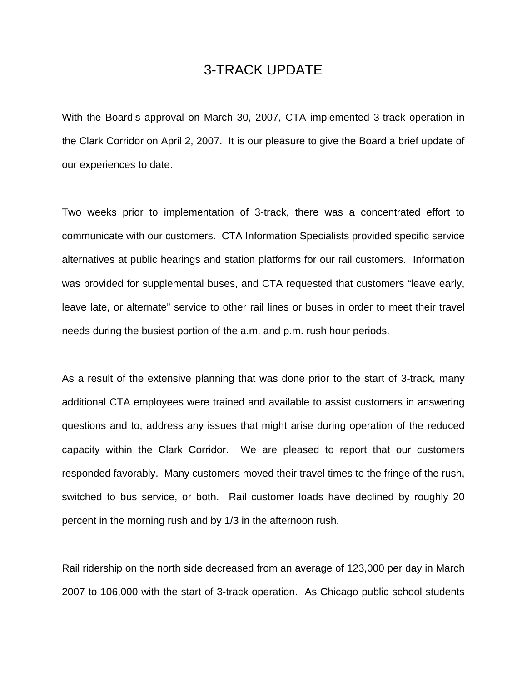## 3-TRACK UPDATE

With the Board's approval on March 30, 2007, CTA implemented 3-track operation in the Clark Corridor on April 2, 2007. It is our pleasure to give the Board a brief update of our experiences to date.

Two weeks prior to implementation of 3-track, there was a concentrated effort to communicate with our customers. CTA Information Specialists provided specific service alternatives at public hearings and station platforms for our rail customers. Information was provided for supplemental buses, and CTA requested that customers "leave early, leave late, or alternate" service to other rail lines or buses in order to meet their travel needs during the busiest portion of the a.m. and p.m. rush hour periods.

As a result of the extensive planning that was done prior to the start of 3-track, many additional CTA employees were trained and available to assist customers in answering questions and to, address any issues that might arise during operation of the reduced capacity within the Clark Corridor. We are pleased to report that our customers responded favorably. Many customers moved their travel times to the fringe of the rush, switched to bus service, or both. Rail customer loads have declined by roughly 20 percent in the morning rush and by 1/3 in the afternoon rush.

Rail ridership on the north side decreased from an average of 123,000 per day in March 2007 to 106,000 with the start of 3-track operation. As Chicago public school students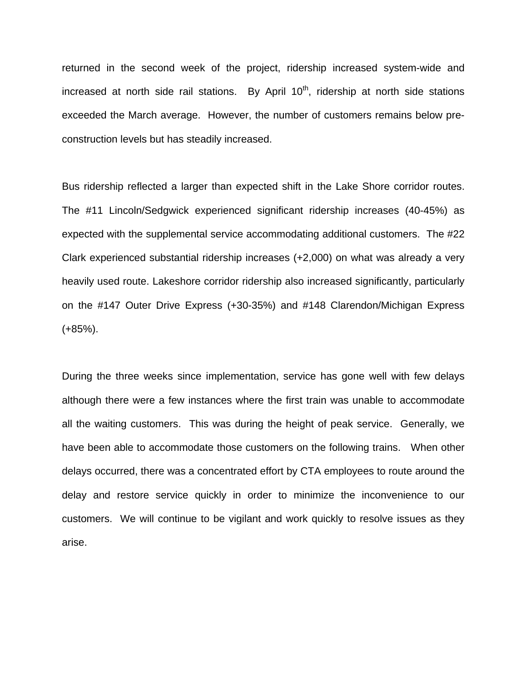returned in the second week of the project, ridership increased system-wide and increased at north side rail stations. By April  $10<sup>th</sup>$ , ridership at north side stations exceeded the March average. However, the number of customers remains below preconstruction levels but has steadily increased.

Bus ridership reflected a larger than expected shift in the Lake Shore corridor routes. The #11 Lincoln/Sedgwick experienced significant ridership increases (40-45%) as expected with the supplemental service accommodating additional customers. The #22 Clark experienced substantial ridership increases (+2,000) on what was already a very heavily used route. Lakeshore corridor ridership also increased significantly, particularly on the #147 Outer Drive Express (+30-35%) and #148 Clarendon/Michigan Express (+85%).

During the three weeks since implementation, service has gone well with few delays although there were a few instances where the first train was unable to accommodate all the waiting customers. This was during the height of peak service. Generally, we have been able to accommodate those customers on the following trains. When other delays occurred, there was a concentrated effort by CTA employees to route around the delay and restore service quickly in order to minimize the inconvenience to our customers. We will continue to be vigilant and work quickly to resolve issues as they arise.